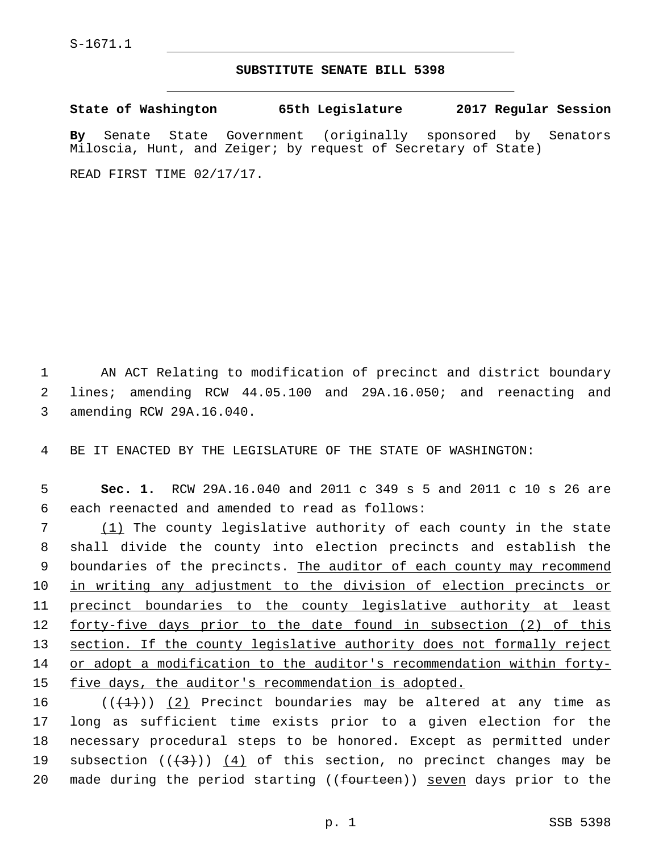## **SUBSTITUTE SENATE BILL 5398**

**State of Washington 65th Legislature 2017 Regular Session By** Senate State Government (originally sponsored by Senators Miloscia, Hunt, and Zeiger; by request of Secretary of State) READ FIRST TIME 02/17/17.

1 AN ACT Relating to modification of precinct and district boundary 2 lines; amending RCW 44.05.100 and 29A.16.050; and reenacting and 3 amending RCW 29A.16.040.

4 BE IT ENACTED BY THE LEGISLATURE OF THE STATE OF WASHINGTON:

5 **Sec. 1.** RCW 29A.16.040 and 2011 c 349 s 5 and 2011 c 10 s 26 are 6 each reenacted and amended to read as follows:

 (1) The county legislative authority of each county in the state shall divide the county into election precincts and establish the 9 boundaries of the precincts. The auditor of each county may recommend 10 in writing any adjustment to the division of election precincts or precinct boundaries to the county legislative authority at least 12 forty-five days prior to the date found in subsection (2) of this section. If the county legislative authority does not formally reject or adopt a modification to the auditor's recommendation within forty-five days, the auditor's recommendation is adopted.

16  $((+1))$   $(2)$  Precinct boundaries may be altered at any time as 17 long as sufficient time exists prior to a given election for the 18 necessary procedural steps to be honored. Except as permitted under 19 subsection  $((+3+))$   $(4)$  of this section, no precinct changes may be 20 made during the period starting ((<del>fourteen</del>)) <u>seven</u> days prior to the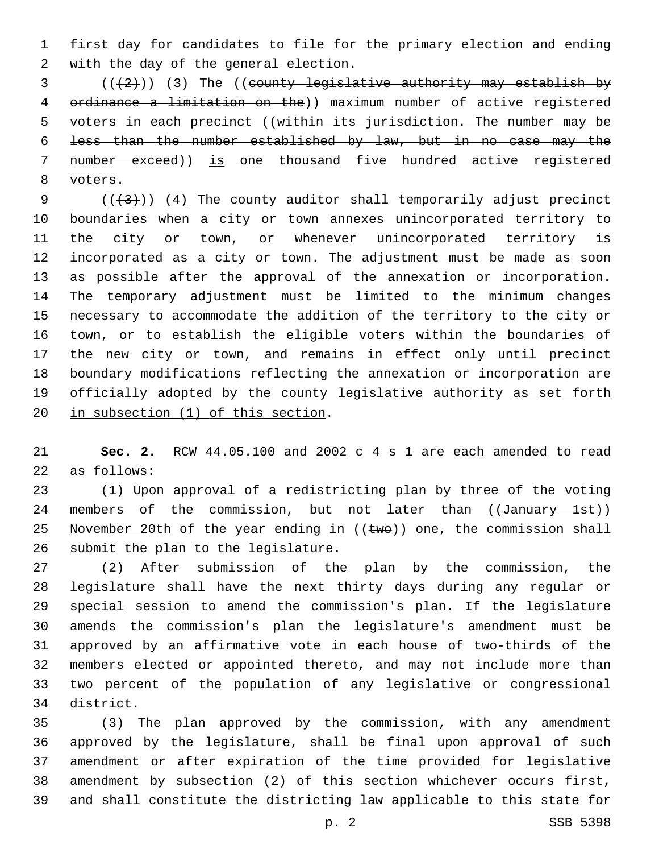first day for candidates to file for the primary election and ending 2 with the day of the general election.

 $(1+2)(1+2)$ ) (3) The ((eounty legislative authority may establish by ordinance a limitation on the)) maximum number of active registered 5 voters in each precinct ((within its jurisdiction. The number may be less than the number established by law, but in no case may the 7 number exceed)) is one thousand five hundred active registered 8 voters.

 $((+3+))$   $(4)$  The county auditor shall temporarily adjust precinct boundaries when a city or town annexes unincorporated territory to the city or town, or whenever unincorporated territory is incorporated as a city or town. The adjustment must be made as soon as possible after the approval of the annexation or incorporation. The temporary adjustment must be limited to the minimum changes necessary to accommodate the addition of the territory to the city or town, or to establish the eligible voters within the boundaries of the new city or town, and remains in effect only until precinct boundary modifications reflecting the annexation or incorporation are 19 officially adopted by the county legislative authority as set forth 20 in subsection  $(1)$  of this section.

 **Sec. 2.** RCW 44.05.100 and 2002 c 4 s 1 are each amended to read 22 as follows:

 (1) Upon approval of a redistricting plan by three of the voting 24 members of the commission, but not later than ((January 1st)) 25 November 20th of the year ending in  $((\text{two}))$  one, the commission shall 26 submit the plan to the legislature.

 (2) After submission of the plan by the commission, the legislature shall have the next thirty days during any regular or special session to amend the commission's plan. If the legislature amends the commission's plan the legislature's amendment must be approved by an affirmative vote in each house of two-thirds of the members elected or appointed thereto, and may not include more than two percent of the population of any legislative or congressional 34 district.

 (3) The plan approved by the commission, with any amendment approved by the legislature, shall be final upon approval of such amendment or after expiration of the time provided for legislative amendment by subsection (2) of this section whichever occurs first, and shall constitute the districting law applicable to this state for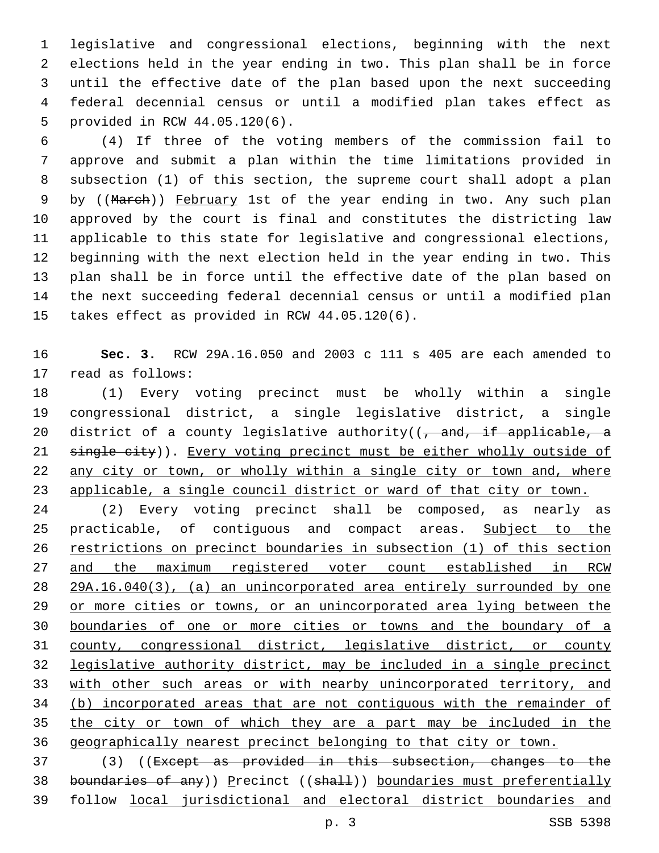legislative and congressional elections, beginning with the next elections held in the year ending in two. This plan shall be in force until the effective date of the plan based upon the next succeeding federal decennial census or until a modified plan takes effect as 5 provided in RCW 44.05.120(6).

 (4) If three of the voting members of the commission fail to approve and submit a plan within the time limitations provided in subsection (1) of this section, the supreme court shall adopt a plan 9 by ((March)) February 1st of the year ending in two. Any such plan approved by the court is final and constitutes the districting law applicable to this state for legislative and congressional elections, beginning with the next election held in the year ending in two. This plan shall be in force until the effective date of the plan based on the next succeeding federal decennial census or until a modified plan 15 takes effect as provided in RCW 44.05.120(6).

 **Sec. 3.** RCW 29A.16.050 and 2003 c 111 s 405 are each amended to 17 read as follows:

 (1) Every voting precinct must be wholly within a single congressional district, a single legislative district, a single 20 district of a county legislative authority( $(-$  and, if applicable, a 21 single city)). Every voting precinct must be either wholly outside of any city or town, or wholly within a single city or town and, where applicable, a single council district or ward of that city or town.

 (2) Every voting precinct shall be composed, as nearly as 25 practicable, of contiguous and compact areas. Subject to the restrictions on precinct boundaries in subsection (1) of this section 27 and the maximum registered voter count established in RCW 29A.16.040(3), (a) an unincorporated area entirely surrounded by one or more cities or towns, or an unincorporated area lying between the boundaries of one or more cities or towns and the boundary of a county, congressional district, legislative district, or county legislative authority district, may be included in a single precinct with other such areas or with nearby unincorporated territory, and (b) incorporated areas that are not contiguous with the remainder of the city or town of which they are a part may be included in the geographically nearest precinct belonging to that city or town.

 (3) ((Except as provided in this subsection, changes to the 38 boundaries of any)) Precinct ((shall)) boundaries must preferentially follow local jurisdictional and electoral district boundaries and